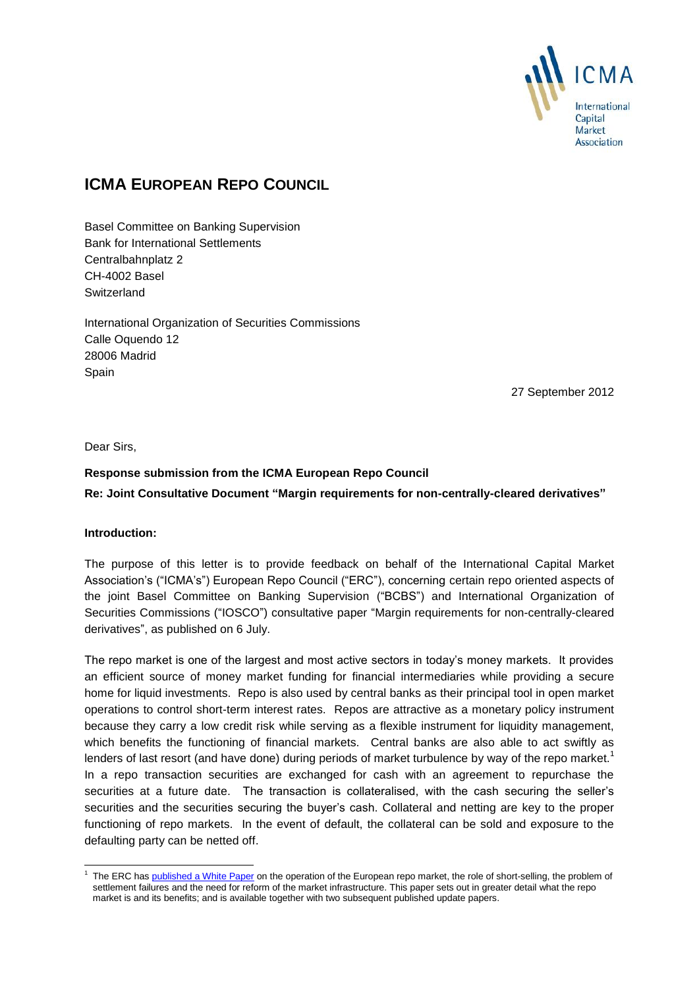

# **ICMA EUROPEAN REPO COUNCIL**

Basel Committee on Banking Supervision Bank for International Settlements Centralbahnplatz 2 CH-4002 Basel **Switzerland** 

International Organization of Securities Commissions Calle Oquendo 12 28006 Madrid Spain

27 September 2012

Dear Sirs,

# **Response submission from the ICMA European Repo Council Re: Joint Consultative Document "Margin requirements for non-centrally-cleared derivatives"**

### **Introduction:**

The purpose of this letter is to provide feedback on behalf of the International Capital Market Association's ("ICMA's") European Repo Council ("ERC"), concerning certain repo oriented aspects of the joint Basel Committee on Banking Supervision ("BCBS") and International Organization of Securities Commissions ("IOSCO") consultative paper "Margin requirements for non-centrally-cleared derivatives", as published on 6 July.

The repo market is one of the largest and most active sectors in today's money markets. It provides an efficient source of money market funding for financial intermediaries while providing a secure home for liquid investments. Repo is also used by central banks as their principal tool in open market operations to control short-term interest rates. Repos are attractive as a monetary policy instrument because they carry a low credit risk while serving as a flexible instrument for liquidity management, which benefits the functioning of financial markets. Central banks are also able to act swiftly as lenders of last resort (and have done) during periods of market turbulence by way of the repo market.<sup>1</sup> In a repo transaction securities are exchanged for cash with an agreement to repurchase the securities at a future date. The transaction is collateralised, with the cash securing the seller's securities and the securities securing the buyer's cash. Collateral and netting are key to the proper functioning of repo markets. In the event of default, the collateral can be sold and exposure to the defaulting party can be netted off.

<sup>-</sup>1 The ERC ha[s published a White Paper](http://www.icmagroup.org/Regulatory-Policy-and-Market-Practice/Repo-Markets/European-repo-market-white-paper.aspx) on the operation of the European repo market, the role of short-selling, the problem of settlement failures and the need for reform of the market infrastructure. This paper sets out in greater detail what the repo market is and its benefits; and is available together with two subsequent published update papers.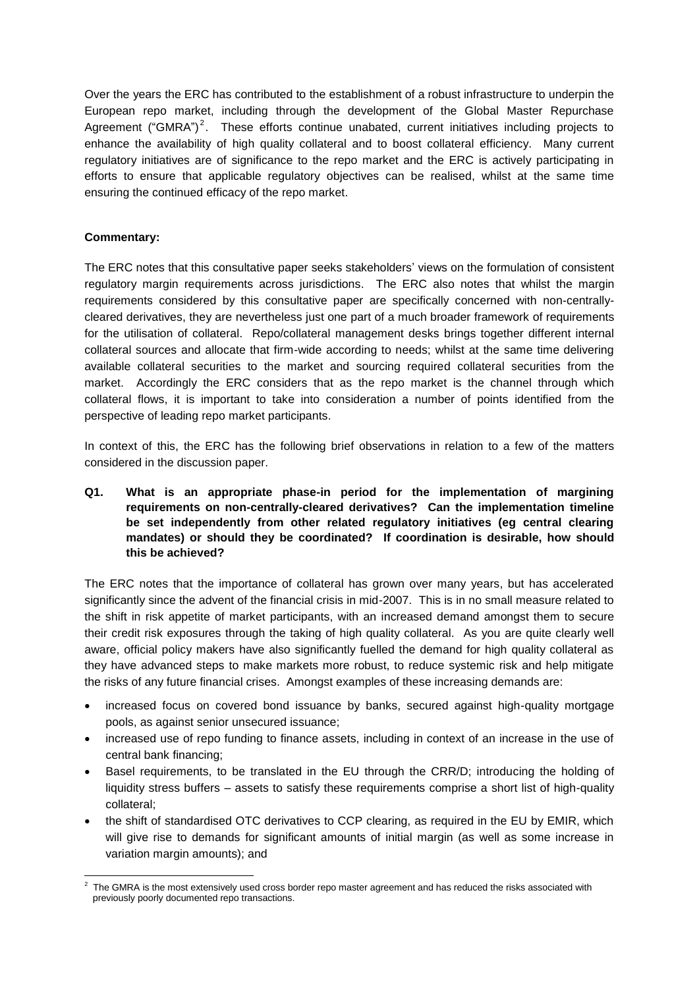Over the years the ERC has contributed to the establishment of a robust infrastructure to underpin the European repo market, including through the development of the Global Master Repurchase Agreement ("GMRA")<sup>2</sup>. These efforts continue unabated, current initiatives including projects to enhance the availability of high quality collateral and to boost collateral efficiency. Many current regulatory initiatives are of significance to the repo market and the ERC is actively participating in efforts to ensure that applicable regulatory objectives can be realised, whilst at the same time ensuring the continued efficacy of the repo market.

## **Commentary:**

The ERC notes that this consultative paper seeks stakeholders' views on the formulation of consistent regulatory margin requirements across jurisdictions. The ERC also notes that whilst the margin requirements considered by this consultative paper are specifically concerned with non-centrallycleared derivatives, they are nevertheless just one part of a much broader framework of requirements for the utilisation of collateral. Repo/collateral management desks brings together different internal collateral sources and allocate that firm-wide according to needs; whilst at the same time delivering available collateral securities to the market and sourcing required collateral securities from the market. Accordingly the ERC considers that as the repo market is the channel through which collateral flows, it is important to take into consideration a number of points identified from the perspective of leading repo market participants.

In context of this, the ERC has the following brief observations in relation to a few of the matters considered in the discussion paper.

**Q1. What is an appropriate phase-in period for the implementation of margining requirements on non-centrally-cleared derivatives? Can the implementation timeline be set independently from other related regulatory initiatives (eg central clearing mandates) or should they be coordinated? If coordination is desirable, how should this be achieved?** 

The ERC notes that the importance of collateral has grown over many years, but has accelerated significantly since the advent of the financial crisis in mid-2007. This is in no small measure related to the shift in risk appetite of market participants, with an increased demand amongst them to secure their credit risk exposures through the taking of high quality collateral. As you are quite clearly well aware, official policy makers have also significantly fuelled the demand for high quality collateral as they have advanced steps to make markets more robust, to reduce systemic risk and help mitigate the risks of any future financial crises. Amongst examples of these increasing demands are:

- increased focus on covered bond issuance by banks, secured against high-quality mortgage pools, as against senior unsecured issuance;
- increased use of repo funding to finance assets, including in context of an increase in the use of central bank financing;
- Basel requirements, to be translated in the EU through the CRR/D; introducing the holding of liquidity stress buffers – assets to satisfy these requirements comprise a short list of high-quality collateral;
- the shift of standardised OTC derivatives to CCP clearing, as required in the EU by EMIR, which will give rise to demands for significant amounts of initial margin (as well as some increase in variation margin amounts); and

 2 The GMRA is the most extensively used cross border repo master agreement and has reduced the risks associated with previously poorly documented repo transactions.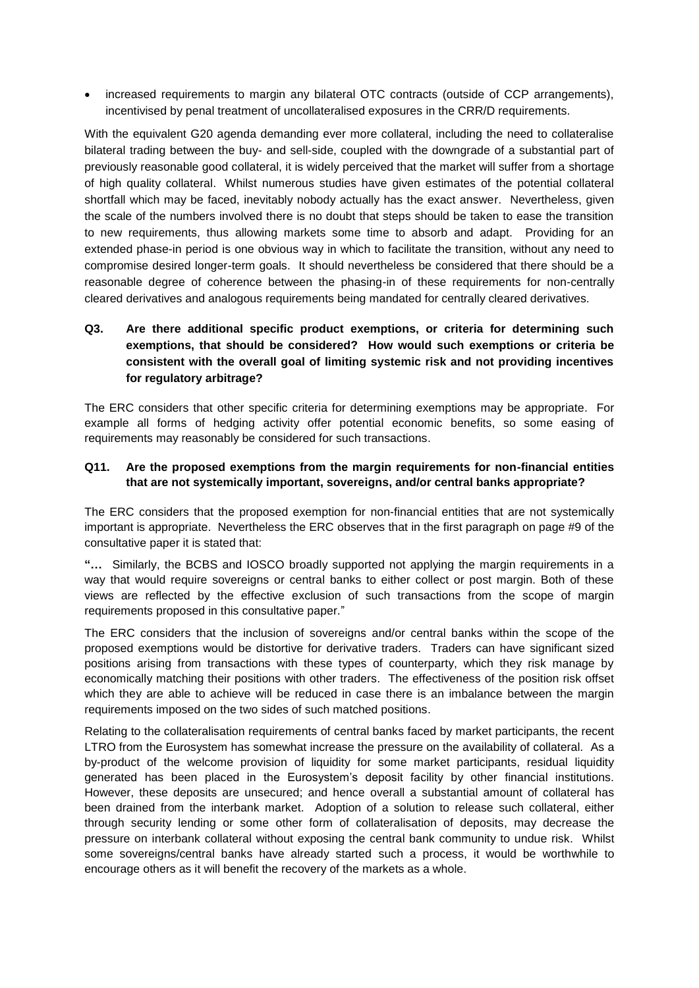increased requirements to margin any bilateral OTC contracts (outside of CCP arrangements), incentivised by penal treatment of uncollateralised exposures in the CRR/D requirements.

With the equivalent G20 agenda demanding ever more collateral, including the need to collateralise bilateral trading between the buy- and sell-side, coupled with the downgrade of a substantial part of previously reasonable good collateral, it is widely perceived that the market will suffer from a shortage of high quality collateral. Whilst numerous studies have given estimates of the potential collateral shortfall which may be faced, inevitably nobody actually has the exact answer. Nevertheless, given the scale of the numbers involved there is no doubt that steps should be taken to ease the transition to new requirements, thus allowing markets some time to absorb and adapt. Providing for an extended phase-in period is one obvious way in which to facilitate the transition, without any need to compromise desired longer-term goals. It should nevertheless be considered that there should be a reasonable degree of coherence between the phasing-in of these requirements for non-centrally cleared derivatives and analogous requirements being mandated for centrally cleared derivatives.

# **Q3. Are there additional specific product exemptions, or criteria for determining such exemptions, that should be considered? How would such exemptions or criteria be consistent with the overall goal of limiting systemic risk and not providing incentives for regulatory arbitrage?**

The ERC considers that other specific criteria for determining exemptions may be appropriate. For example all forms of hedging activity offer potential economic benefits, so some easing of requirements may reasonably be considered for such transactions.

#### **Q11. Are the proposed exemptions from the margin requirements for non-financial entities that are not systemically important, sovereigns, and/or central banks appropriate?**

The ERC considers that the proposed exemption for non-financial entities that are not systemically important is appropriate. Nevertheless the ERC observes that in the first paragraph on page #9 of the consultative paper it is stated that:

**"…** Similarly, the BCBS and IOSCO broadly supported not applying the margin requirements in a way that would require sovereigns or central banks to either collect or post margin. Both of these views are reflected by the effective exclusion of such transactions from the scope of margin requirements proposed in this consultative paper."

The ERC considers that the inclusion of sovereigns and/or central banks within the scope of the proposed exemptions would be distortive for derivative traders. Traders can have significant sized positions arising from transactions with these types of counterparty, which they risk manage by economically matching their positions with other traders. The effectiveness of the position risk offset which they are able to achieve will be reduced in case there is an imbalance between the margin requirements imposed on the two sides of such matched positions.

Relating to the collateralisation requirements of central banks faced by market participants, the recent LTRO from the Eurosystem has somewhat increase the pressure on the availability of collateral. As a by-product of the welcome provision of liquidity for some market participants, residual liquidity generated has been placed in the Eurosystem's deposit facility by other financial institutions. However, these deposits are unsecured; and hence overall a substantial amount of collateral has been drained from the interbank market. Adoption of a solution to release such collateral, either through security lending or some other form of collateralisation of deposits, may decrease the pressure on interbank collateral without exposing the central bank community to undue risk. Whilst some sovereigns/central banks have already started such a process, it would be worthwhile to encourage others as it will benefit the recovery of the markets as a whole.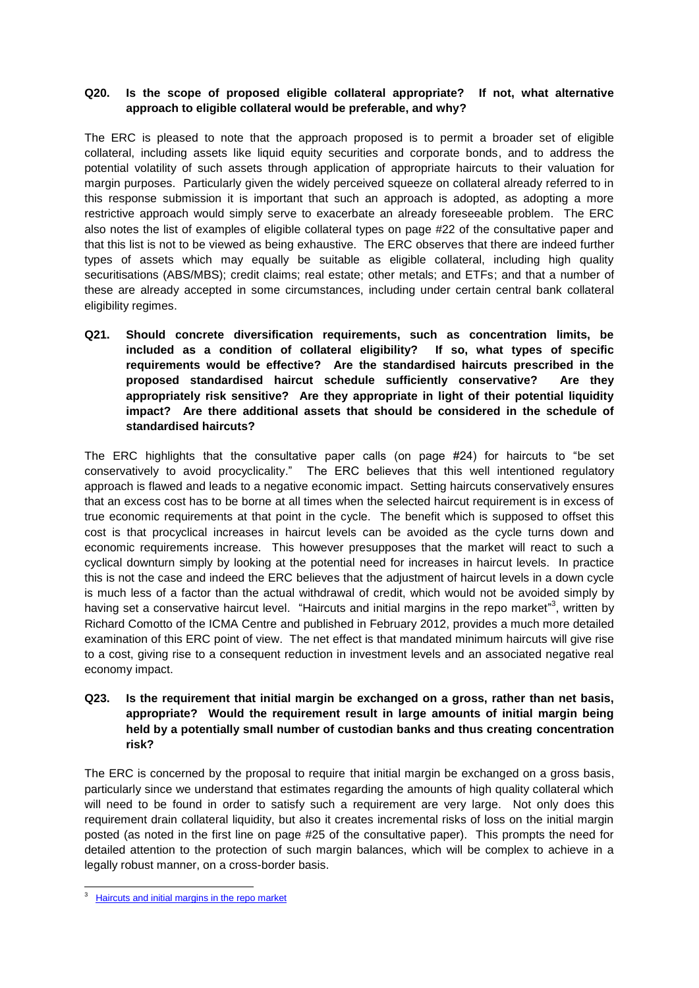## **Q20. Is the scope of proposed eligible collateral appropriate? If not, what alternative approach to eligible collateral would be preferable, and why?**

The ERC is pleased to note that the approach proposed is to permit a broader set of eligible collateral, including assets like liquid equity securities and corporate bonds, and to address the potential volatility of such assets through application of appropriate haircuts to their valuation for margin purposes. Particularly given the widely perceived squeeze on collateral already referred to in this response submission it is important that such an approach is adopted, as adopting a more restrictive approach would simply serve to exacerbate an already foreseeable problem. The ERC also notes the list of examples of eligible collateral types on page #22 of the consultative paper and that this list is not to be viewed as being exhaustive. The ERC observes that there are indeed further types of assets which may equally be suitable as eligible collateral, including high quality securitisations (ABS/MBS); credit claims; real estate; other metals; and ETFs; and that a number of these are already accepted in some circumstances, including under certain central bank collateral eligibility regimes.

**Q21. Should concrete diversification requirements, such as concentration limits, be included as a condition of collateral eligibility? If so, what types of specific requirements would be effective? Are the standardised haircuts prescribed in the proposed standardised haircut schedule sufficiently conservative? Are they appropriately risk sensitive? Are they appropriate in light of their potential liquidity impact? Are there additional assets that should be considered in the schedule of standardised haircuts?** 

The ERC highlights that the consultative paper calls (on page #24) for haircuts to "be set conservatively to avoid procyclicality." The ERC believes that this well intentioned regulatory approach is flawed and leads to a negative economic impact. Setting haircuts conservatively ensures that an excess cost has to be borne at all times when the selected haircut requirement is in excess of true economic requirements at that point in the cycle. The benefit which is supposed to offset this cost is that procyclical increases in haircut levels can be avoided as the cycle turns down and economic requirements increase. This however presupposes that the market will react to such a cyclical downturn simply by looking at the potential need for increases in haircut levels. In practice this is not the case and indeed the ERC believes that the adjustment of haircut levels in a down cycle is much less of a factor than the actual withdrawal of credit, which would not be avoided simply by having set a conservative haircut level. "Haircuts and initial margins in the repo market"<sup>3</sup>, written by Richard Comotto of the ICMA Centre and published in February 2012, provides a much more detailed examination of this ERC point of view. The net effect is that mandated minimum haircuts will give rise to a cost, giving rise to a consequent reduction in investment levels and an associated negative real economy impact.

**Q23. Is the requirement that initial margin be exchanged on a gross, rather than net basis, appropriate? Would the requirement result in large amounts of initial margin being held by a potentially small number of custodian banks and thus creating concentration risk?**

The ERC is concerned by the proposal to require that initial margin be exchanged on a gross basis, particularly since we understand that estimates regarding the amounts of high quality collateral which will need to be found in order to satisfy such a requirement are very large. Not only does this requirement drain collateral liquidity, but also it creates incremental risks of loss on the initial margin posted (as noted in the first line on page #25 of the consultative paper). This prompts the need for detailed attention to the protection of such margin balances, which will be complex to achieve in a legally robust manner, on a cross-border basis.

-

<sup>3</sup>  [Haircuts and initial margins in the repo market](http://www.icmagroup.org/assets/documents/Maket-Practice/Regulatory-Policy/Repo-Markets/Haircuts%20and%20initial%20margins%20in%20the%20repo%20market_8%20Feb%202012.pdf)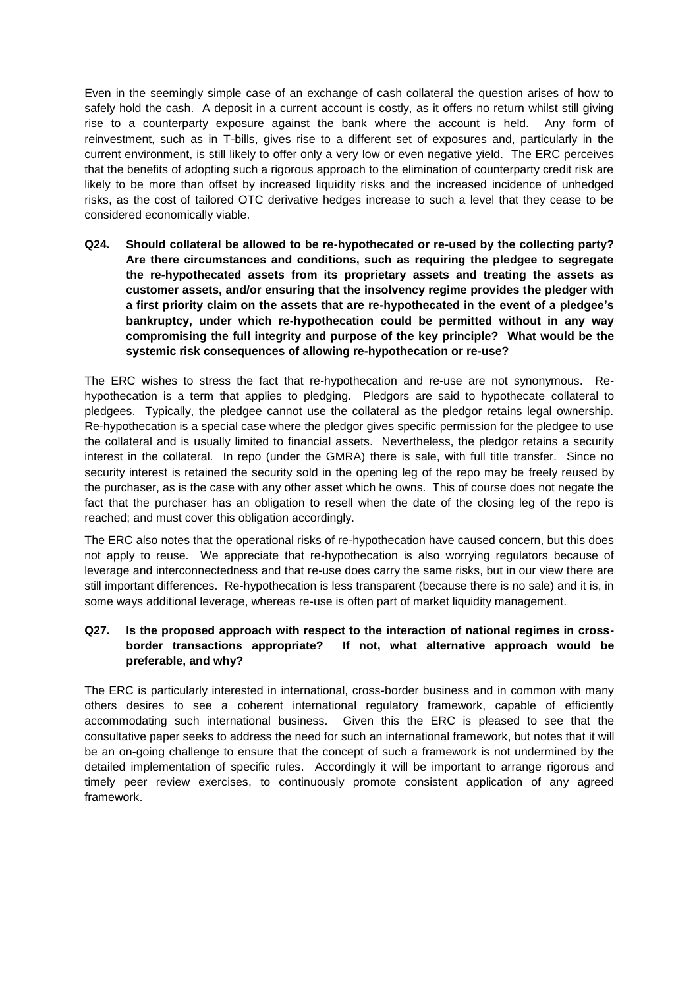Even in the seemingly simple case of an exchange of cash collateral the question arises of how to safely hold the cash. A deposit in a current account is costly, as it offers no return whilst still giving rise to a counterparty exposure against the bank where the account is held. Any form of reinvestment, such as in T-bills, gives rise to a different set of exposures and, particularly in the current environment, is still likely to offer only a very low or even negative yield. The ERC perceives that the benefits of adopting such a rigorous approach to the elimination of counterparty credit risk are likely to be more than offset by increased liquidity risks and the increased incidence of unhedged risks, as the cost of tailored OTC derivative hedges increase to such a level that they cease to be considered economically viable.

**Q24. Should collateral be allowed to be re-hypothecated or re-used by the collecting party? Are there circumstances and conditions, such as requiring the pledgee to segregate the re-hypothecated assets from its proprietary assets and treating the assets as customer assets, and/or ensuring that the insolvency regime provides the pledger with a first priority claim on the assets that are re-hypothecated in the event of a pledgee's bankruptcy, under which re-hypothecation could be permitted without in any way compromising the full integrity and purpose of the key principle? What would be the systemic risk consequences of allowing re-hypothecation or re-use?**

The ERC wishes to stress the fact that re-hypothecation and re-use are not synonymous. Rehypothecation is a term that applies to pledging. Pledgors are said to hypothecate collateral to pledgees. Typically, the pledgee cannot use the collateral as the pledgor retains legal ownership. Re-hypothecation is a special case where the pledgor gives specific permission for the pledgee to use the collateral and is usually limited to financial assets. Nevertheless, the pledgor retains a security interest in the collateral. In repo (under the GMRA) there is sale, with full title transfer. Since no security interest is retained the security sold in the opening leg of the repo may be freely reused by the purchaser, as is the case with any other asset which he owns. This of course does not negate the fact that the purchaser has an obligation to resell when the date of the closing leg of the repo is reached; and must cover this obligation accordingly.

The ERC also notes that the operational risks of re-hypothecation have caused concern, but this does not apply to reuse. We appreciate that re-hypothecation is also worrying regulators because of leverage and interconnectedness and that re-use does carry the same risks, but in our view there are still important differences. Re-hypothecation is less transparent (because there is no sale) and it is, in some ways additional leverage, whereas re-use is often part of market liquidity management.

## **Q27. Is the proposed approach with respect to the interaction of national regimes in crossborder transactions appropriate? If not, what alternative approach would be preferable, and why?**

The ERC is particularly interested in international, cross-border business and in common with many others desires to see a coherent international regulatory framework, capable of efficiently accommodating such international business. Given this the ERC is pleased to see that the consultative paper seeks to address the need for such an international framework, but notes that it will be an on-going challenge to ensure that the concept of such a framework is not undermined by the detailed implementation of specific rules. Accordingly it will be important to arrange rigorous and timely peer review exercises, to continuously promote consistent application of any agreed framework.